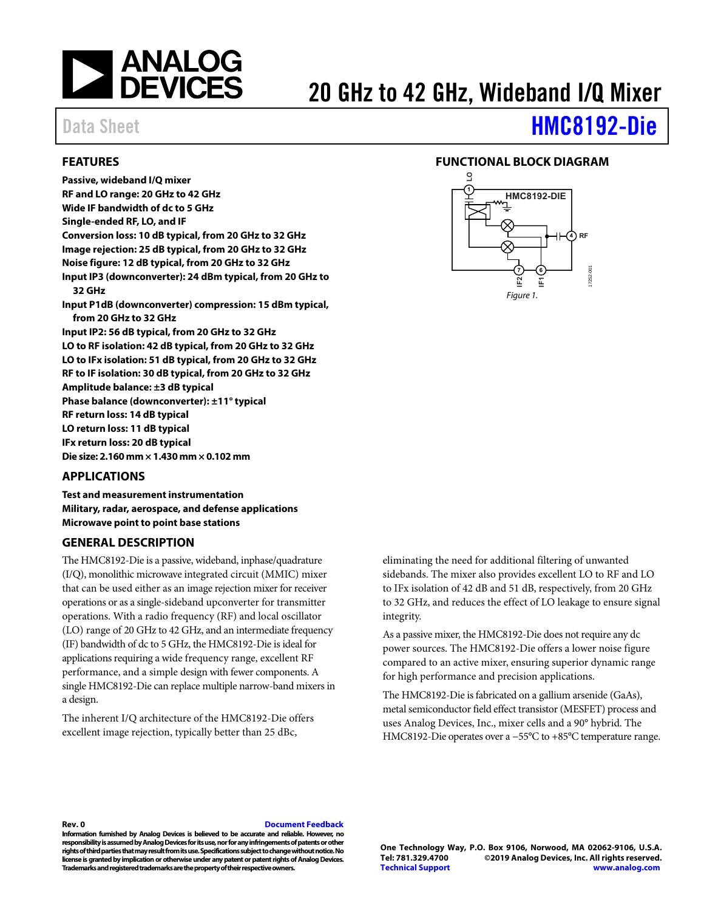

# 20 GHz to 42 GHz, Wideband I/Q Mixer

# Data Sheet **[HMC8192-Die](https://www.analog.com/hmc8192?doc=hmc8192-die.pdf)**

### <span id="page-0-0"></span>**FEATURES**

**Passive, wideband I/Q mixer RF and LO range: 20 GHz to 42 GHz Wide IF bandwidth of dc to 5 GHz Single-ended RF, LO, and IF Conversion loss: 10 dB typical, from 20 GHz to 32 GHz Image rejection: 25 dB typical, from 20 GHz to 32 GHz Noise figure: 12 dB typical, from 20 GHz to 32 GHz Input IP3 (downconverter): 24 dBm typical, from 20 GHz to 32 GHz Input P1dB (downconverter) compression: 15 dBm typical, from 20 GHz to 32 GHz Input IP2: 56 dB typical, from 20 GHz to 32 GHz LO to RF isolation: 42 dB typical, from 20 GHz to 32 GHz LO to IFx isolation: 51 dB typical, from 20 GHz to 32 GHz RF to IF isolation: 30 dB typical, from 20 GHz to 32 GHz Amplitude balance: ±3 dB typical Phase balance (downconverter): ±11° typical RF return loss: 14 dB typical LO return loss: 11 dB typical IFx return loss: 20 dB typical Die size: 2.160 mm × 1.430 mm × 0.102 mm** 

### <span id="page-0-1"></span>**APPLICATIONS**

**Test and measurement instrumentation Military, radar, aerospace, and defense applications Microwave point to point base stations** 

#### <span id="page-0-3"></span>**GENERAL DESCRIPTION**

The HMC8192-Die is a passive, wideband, inphase/quadrature (I/Q), monolithic microwave integrated circuit (MMIC) mixer that can be used either as an image rejection mixer for receiver operations or as a single-sideband upconverter for transmitter operations. With a radio frequency (RF) and local oscillator (LO) range of 20 GHz to 42 GHz, and an intermediate frequency (IF) bandwidth of dc to 5 GHz, the HMC8192-Die is ideal for applications requiring a wide frequency range, excellent RF performance, and a simple design with fewer components. A single HMC8192-Die can replace multiple narrow-band mixers in a design.

The inherent I/Q architecture of the HMC8192-Die offers excellent image rejection, typically better than 25 dBc,

### <span id="page-0-2"></span>**FUNCTIONAL BLOCK DIAGRAM**



eliminating the need for additional filtering of unwanted sidebands. The mixer also provides excellent LO to RF and LO to IFx isolation of 42 dB and 51 dB, respectively, from 20 GHz to 32 GHz, and reduces the effect of LO leakage to ensure signal integrity.

As a passive mixer, the HMC8192-Die does not require any dc power sources. The HMC8192-Die offers a lower noise figure compared to an active mixer, ensuring superior dynamic range for high performance and precision applications.

The HMC8192-Die is fabricated on a gallium arsenide (GaAs), metal semiconductor field effect transistor (MESFET) process and uses Analog Devices, Inc., mixer cells and a 90° hybrid. The HMC8192-Die operates over a −55°C to +85°C temperature range.

#### **Rev. 0 [Document Feedback](https://form.analog.com/Form_Pages/feedback/documentfeedback.aspx?doc=HMC8192-Die.pdf&product=HMC8192-Die&rev=0)**

**Information furnished by Analog Devices is believed to be accurate and reliable. However, no responsibility is assumed by Analog Devices for its use, nor for any infringements of patents or other rights of third parties that may result from its use. Specifications subject to change without notice. No license is granted by implication or otherwise under any patent or patent rights of Analog Devices. Trademarks and registered trademarks are the property of their respective owners.** 

**One Technology Way, P.O. Box 9106, Norwood, MA 02062-9106, U.S.A.** ©2019 Analog Devices, Inc. All rights reserved. **[Technical Support](http://www.analog.com/en/content/technical_support_page/fca.html) [www.analog.com](http://www.analog.com/)**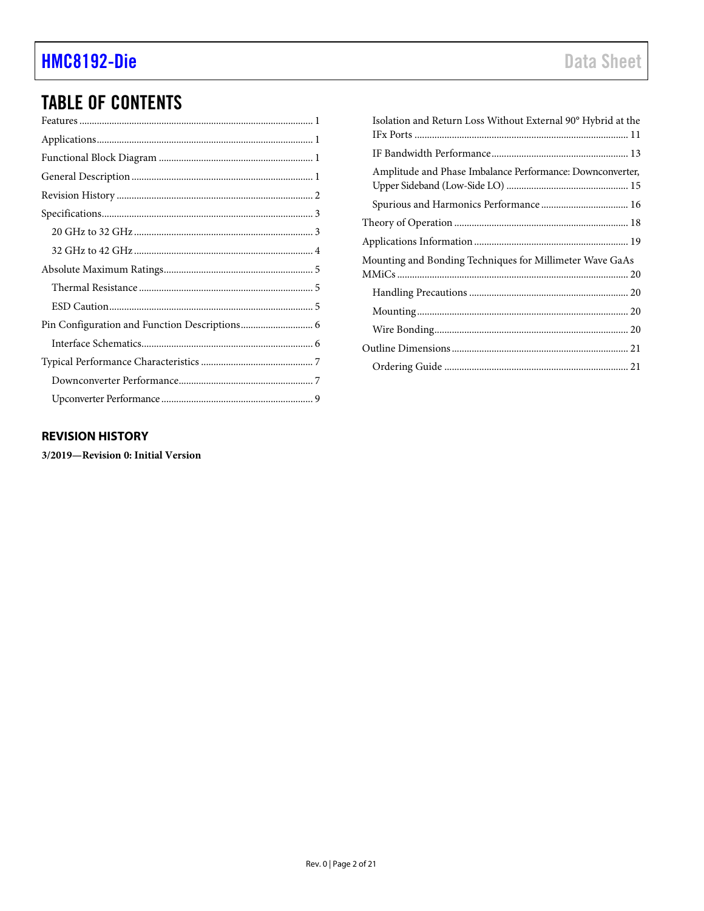## **TABLE OF CONTENTS**

| Isolation and Return Loss Without External 90° Hybrid at the |  |
|--------------------------------------------------------------|--|
|                                                              |  |
| Amplitude and Phase Imbalance Performance: Downconverter,    |  |
|                                                              |  |
|                                                              |  |
|                                                              |  |
| Mounting and Bonding Techniques for Millimeter Wave GaAs     |  |
|                                                              |  |
|                                                              |  |
|                                                              |  |
|                                                              |  |
|                                                              |  |

### <span id="page-1-0"></span>**REVISION HISTORY**

3/2019-Revision 0: Initial Version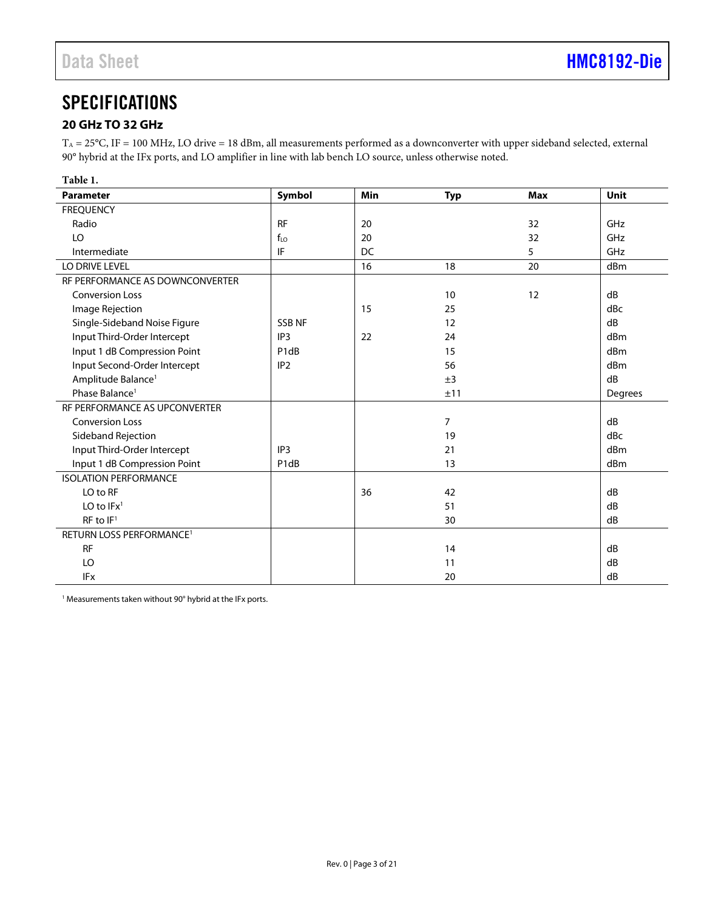### <span id="page-2-0"></span>**SPECIFICATIONS**

### <span id="page-2-1"></span>**20 GHz TO 32 GHz**

 $T_A = 25^{\circ}$ C, IF = 100 MHz, LO drive = 18 dBm, all measurements performed as a downconverter with upper sideband selected, external 90° hybrid at the IFx ports, and LO amplifier in line with lab bench LO source, unless otherwise noted.

| Table 1.                             |                               |     |                |            |             |
|--------------------------------------|-------------------------------|-----|----------------|------------|-------------|
| <b>Parameter</b>                     | Symbol                        | Min | <b>Typ</b>     | <b>Max</b> | <b>Unit</b> |
| <b>FREQUENCY</b>                     |                               |     |                |            |             |
| Radio                                | <b>RF</b>                     | 20  |                | 32         | GHz         |
| LO                                   | $f_{LO}$                      | 20  |                | 32         | GHz         |
| Intermediate                         | IF                            | DC  |                | 5          | GHz         |
| LO DRIVE LEVEL                       |                               | 16  | 18             | 20         | dBm         |
| RF PERFORMANCE AS DOWNCONVERTER      |                               |     |                |            |             |
| <b>Conversion Loss</b>               |                               |     | 10             | 12         | dB          |
| Image Rejection                      |                               | 15  | 25             |            | dBc         |
| Single-Sideband Noise Figure         | <b>SSB NF</b>                 |     | 12             |            | dB          |
| Input Third-Order Intercept          | IP <sub>3</sub>               | 22  | 24             |            | dBm         |
| Input 1 dB Compression Point         | P <sub>1</sub> d <sub>B</sub> |     | 15             |            | dBm         |
| Input Second-Order Intercept         | IP <sub>2</sub>               |     | 56             |            | dBm         |
| Amplitude Balance <sup>1</sup>       |                               |     | ±3             |            | dB          |
| Phase Balance <sup>1</sup>           |                               |     | ±11            |            | Degrees     |
| RF PERFORMANCE AS UPCONVERTER        |                               |     |                |            |             |
| <b>Conversion Loss</b>               |                               |     | $\overline{7}$ |            | dB          |
| Sideband Rejection                   |                               |     | 19             |            | dBc         |
| Input Third-Order Intercept          | IP <sub>3</sub>               |     | 21             |            | dBm         |
| Input 1 dB Compression Point         | P <sub>1</sub> d <sub>B</sub> |     | 13             |            | dBm         |
| <b>ISOLATION PERFORMANCE</b>         |                               |     |                |            |             |
| LO to RF                             |                               | 36  | 42             |            | dB          |
| LO to $IFx1$                         |                               |     | 51             |            | dB          |
| $RF$ to $IF1$                        |                               |     | 30             |            | dB          |
| RETURN LOSS PERFORMANCE <sup>1</sup> |                               |     |                |            |             |
| <b>RF</b>                            |                               |     | 14             |            | dB          |
| LO                                   |                               |     | 11             |            | dB          |
| <b>IFx</b>                           |                               |     | 20             |            | dB          |

 $1$  Measurements taken without 90 $^{\circ}$  hybrid at the IFx ports.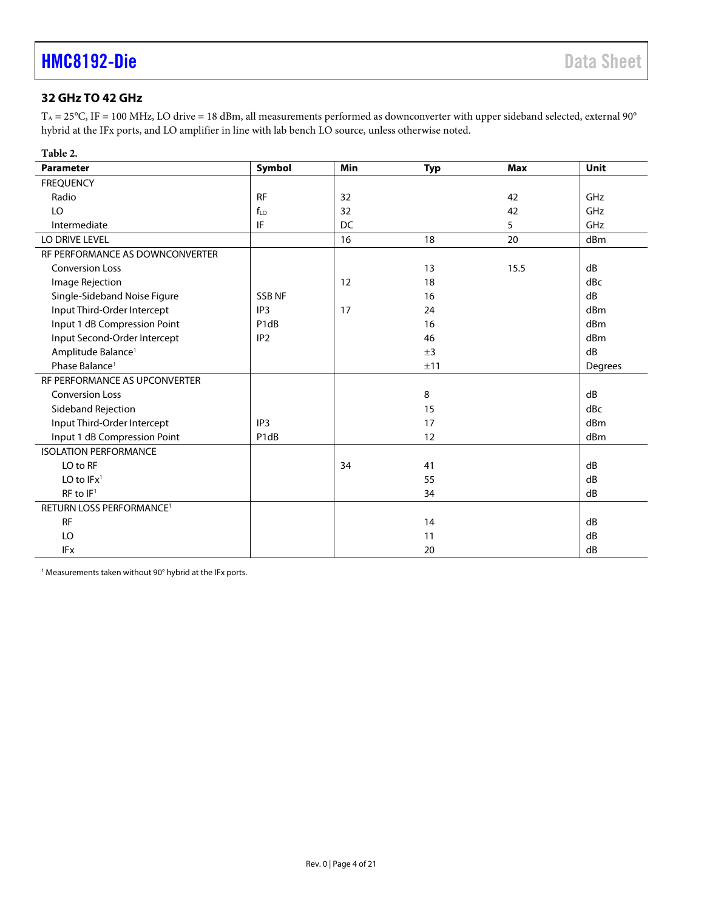### <span id="page-3-0"></span>**32 GHz TO 42 GHz**

 $T_A = 25^{\circ}$ C, IF = 100 MHz, LO drive = 18 dBm, all measurements performed as downconverter with upper sideband selected, external 90 $^{\circ}$ hybrid at the IFx ports, and LO amplifier in line with lab bench LO source, unless otherwise noted.

| Table 2.                             |                               |            |            |            |         |
|--------------------------------------|-------------------------------|------------|------------|------------|---------|
| <b>Parameter</b>                     | Symbol                        | <b>Min</b> | <b>Typ</b> | <b>Max</b> | Unit    |
| <b>FREQUENCY</b>                     |                               |            |            |            |         |
| Radio                                | <b>RF</b>                     | 32         |            | 42         | GHz     |
| LO                                   | $f_{LO}$                      | 32         |            | 42         | GHz     |
| Intermediate                         | IF                            | DC         |            | 5          | GHz     |
| LO DRIVE LEVEL                       |                               | 16         | 18         | 20         | dBm     |
| RF PERFORMANCE AS DOWNCONVERTER      |                               |            |            |            |         |
| <b>Conversion Loss</b>               |                               |            | 13         | 15.5       | dB      |
| Image Rejection                      |                               | 12         | 18         |            | dBc     |
| Single-Sideband Noise Figure         | <b>SSB NF</b>                 |            | 16         |            | dB      |
| Input Third-Order Intercept          | IP <sub>3</sub>               | 17         | 24         |            | dBm     |
| Input 1 dB Compression Point         | P <sub>1</sub> d <sub>B</sub> |            | 16         |            | dBm     |
| Input Second-Order Intercept         | IP <sub>2</sub>               |            | 46         |            | dBm     |
| Amplitude Balance <sup>1</sup>       |                               |            | ±3         |            | dB      |
| Phase Balance <sup>1</sup>           |                               |            | ±11        |            | Degrees |
| RF PERFORMANCE AS UPCONVERTER        |                               |            |            |            |         |
| <b>Conversion Loss</b>               |                               |            | 8          |            | dB      |
| Sideband Rejection                   |                               |            | 15         |            | dBc     |
| Input Third-Order Intercept          | IP <sub>3</sub>               |            | 17         |            | dBm     |
| Input 1 dB Compression Point         | P1dB                          |            | 12         |            | dBm     |
| <b>ISOLATION PERFORMANCE</b>         |                               |            |            |            |         |
| LO to RF                             |                               | 34         | 41         |            | dB      |
| LO to $IFx1$                         |                               |            | 55         |            | dB      |
| RF to IF <sup>1</sup>                |                               |            | 34         |            | dB      |
| RETURN LOSS PERFORMANCE <sup>1</sup> |                               |            |            |            |         |
| <b>RF</b>                            |                               |            | 14         |            | dB      |
| LO                                   |                               |            | 11         |            | dB      |
| <b>IFx</b>                           |                               |            | 20         |            | dB      |

<sup>1</sup> Measurements taken without 90° hybrid at the IFx ports.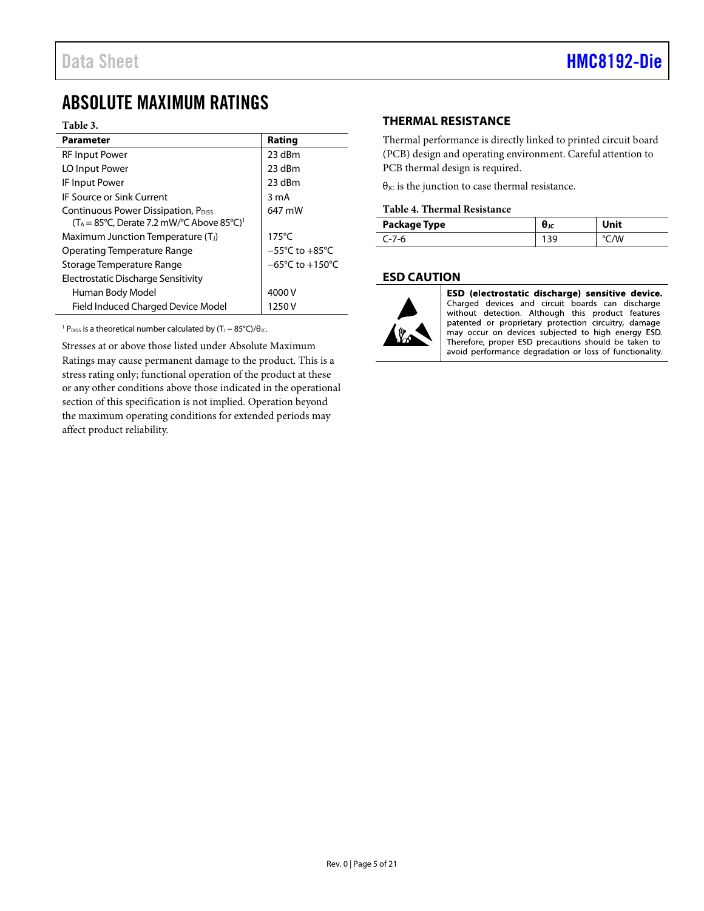### <span id="page-4-0"></span>ABSOLUTE MAXIMUM RATINGS

#### **Table 3.**

| <b>Parameter</b>                                                                                                            | Rating                              |
|-----------------------------------------------------------------------------------------------------------------------------|-------------------------------------|
| <b>RF Input Power</b>                                                                                                       | 23 dBm                              |
| LO Input Power                                                                                                              | 23 dBm                              |
| <b>IF Input Power</b>                                                                                                       | 23 dBm                              |
| <b>IF Source or Sink Current</b>                                                                                            | 3 mA                                |
| Continuous Power Dissipation, P <sub>DISS</sub><br>$(T_A = 85^{\circ}C,$ Derate 7.2 mW/ $^{\circ}C$ Above 85 $^{\circ}C)^1$ | 647 mW                              |
| Maximum Junction Temperature (T <sub>J</sub> )                                                                              | $175^{\circ}$ C                     |
| Operating Temperature Range                                                                                                 | $-55^{\circ}$ C to $+85^{\circ}$ C  |
| Storage Temperature Range                                                                                                   | $-65^{\circ}$ C to $+150^{\circ}$ C |
| Electrostatic Discharge Sensitivity                                                                                         |                                     |
| Human Body Model                                                                                                            | 4000 V                              |
| Field Induced Charged Device Model                                                                                          | 1250 V                              |

<sup>1</sup> P<sub>DISS</sub> is a theoretical number calculated by  $(T_J - 85^{\circ}C)/\theta_{JC}$ .

Stresses at or above those listed under Absolute Maximum Ratings may cause permanent damage to the product. This is a stress rating only; functional operation of the product at these or any other conditions above those indicated in the operational section of this specification is not implied. Operation beyond the maximum operating conditions for extended periods may affect product reliability.

### <span id="page-4-1"></span>**THERMAL RESISTANCE**

Thermal performance is directly linked to printed circuit board (PCB) design and operating environment. Careful attention to PCB thermal design is required.

 $\theta_{\text{JC}}$  is the junction to case thermal resistance.

#### **Table 4. Thermal Resistance**

| Package Type | Unit |
|--------------|------|
| −7-რ         |      |

### <span id="page-4-2"></span>**ESD CAUTION**



ESD (electrostatic discharge) sensitive device. Charged devices and circuit boards can discharge<br>without detection. Although this product features patented or proprietary protection circuitry, damage<br>may occur on devices subjected to high energy ESD. Therefore, proper ESD precautions should be taken to avoid performance degradation or loss of functionality.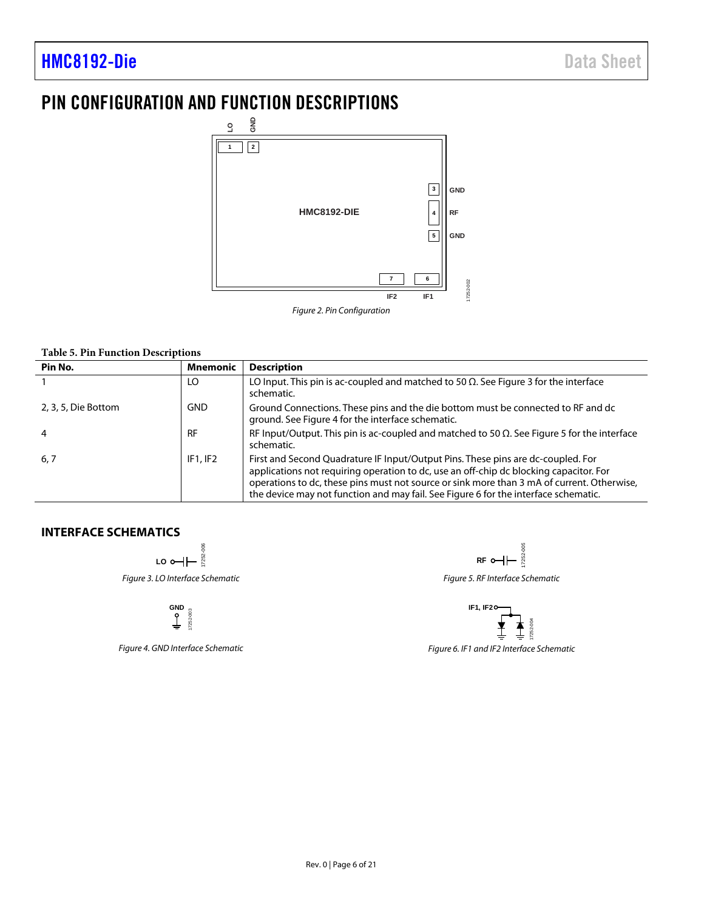### <span id="page-5-0"></span>PIN CONFIGURATION AND FUNCTION DESCRIPTIONS



#### **Table 5. Pin Function Descriptions**

| Pin No.             | <b>Mnemonic</b> | <b>Description</b>                                                                                                                                                                                                                                                                                                                                              |
|---------------------|-----------------|-----------------------------------------------------------------------------------------------------------------------------------------------------------------------------------------------------------------------------------------------------------------------------------------------------------------------------------------------------------------|
|                     | LO              | LO Input. This pin is ac-coupled and matched to 50 $\Omega$ . See Figure 3 for the interface<br>schematic.                                                                                                                                                                                                                                                      |
| 2, 3, 5, Die Bottom | GND             | Ground Connections. These pins and the die bottom must be connected to RF and dc<br>ground. See Figure 4 for the interface schematic.                                                                                                                                                                                                                           |
| 4                   | <b>RF</b>       | RF Input/Output. This pin is ac-coupled and matched to 50 $\Omega$ . See Figure 5 for the interface<br>schematic.                                                                                                                                                                                                                                               |
| 6, 7                | IF1.IF2         | First and Second Quadrature IF Input/Output Pins. These pins are dc-coupled. For<br>applications not requiring operation to dc, use an off-chip dc blocking capacitor. For<br>operations to dc, these pins must not source or sink more than 3 mA of current. Otherwise,<br>the device may not function and may fail. See Figure 6 for the interface schematic. |

### <span id="page-5-2"></span><span id="page-5-1"></span>**INTERFACE SCHEMATICS**

ة ة ّ≆<br>≅≅ 17252-006 Figure 3. LO Interface Schematic

**GND** 7252-003 17252-003

Figure 4. GND Interface Schematic

<sub>305</sub> 17252-005  $RF$  o  $\leftarrow$   $\leftarrow$   $\frac{80}{12}$ 

<span id="page-5-3"></span>Figure 5. RF Interface Schematic



<span id="page-5-4"></span>Figure 6. IF1 and IF2 Interface Schematic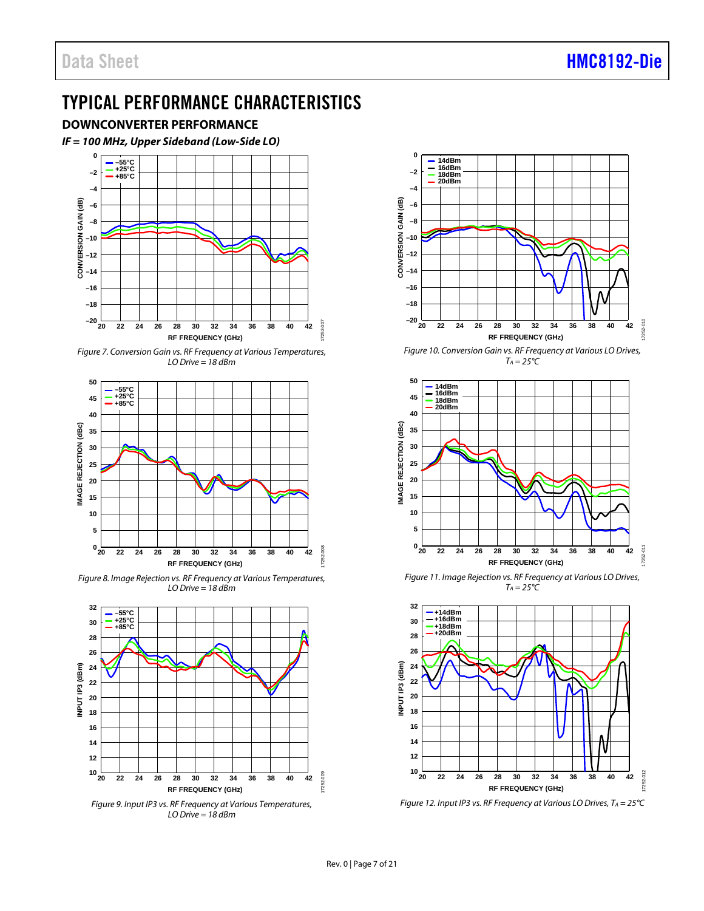### <span id="page-6-0"></span>TYPICAL PERFORMANCE CHARACTERISTICS

<span id="page-6-1"></span>**DOWNCONVERTER PERFORMANCE**



*Figure 7. Conversion Gain vs. RF Frequency at Various Temperatures, LO Drive = 18 dBm*



*Figure 8. Image Rejection vs. RF Frequency at Various Temperatures, LO Drive = 18 dBm*



*Figure 9. Input IP3 vs. RF Frequency at Various Temperatures, LO Drive = 18 dBm*



*Figure 10. Conversion Gain vs. RF Frequency at Various LO Drives, TA = 25°C*



*Figure 11. Image Rejection vs. RF Frequency at Various LO Drives,*   $T_A = 25^\circ \text{C}$ 



*Figure 12. Input IP3 vs. RF Frequency at Various LO Drives, TA = 25°C*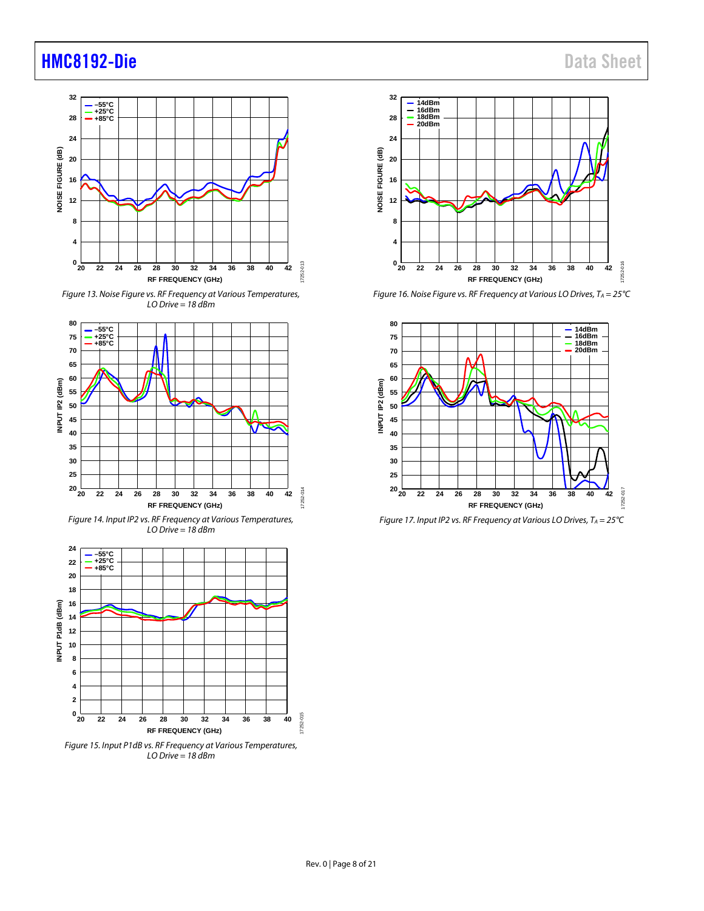

*Figure 13. Noise Figure vs. RF Frequency at Various Temperatures, LO Drive = 18 dBm*



*Figure 14. Input IP2 vs. RF Frequency at Various Temperatures, LO Drive = 18 dBm*



*Figure 15. Input P1dB vs. RF Frequency at Various Temperatures, LO Drive = 18 dBm*



*Figure 16. Noise Figure vs. RF Frequency at Various LO Drives, TA = 25°C*



*Figure 17. Input IP2 vs. RF Frequency at Various LO Drives, TA = 25°C*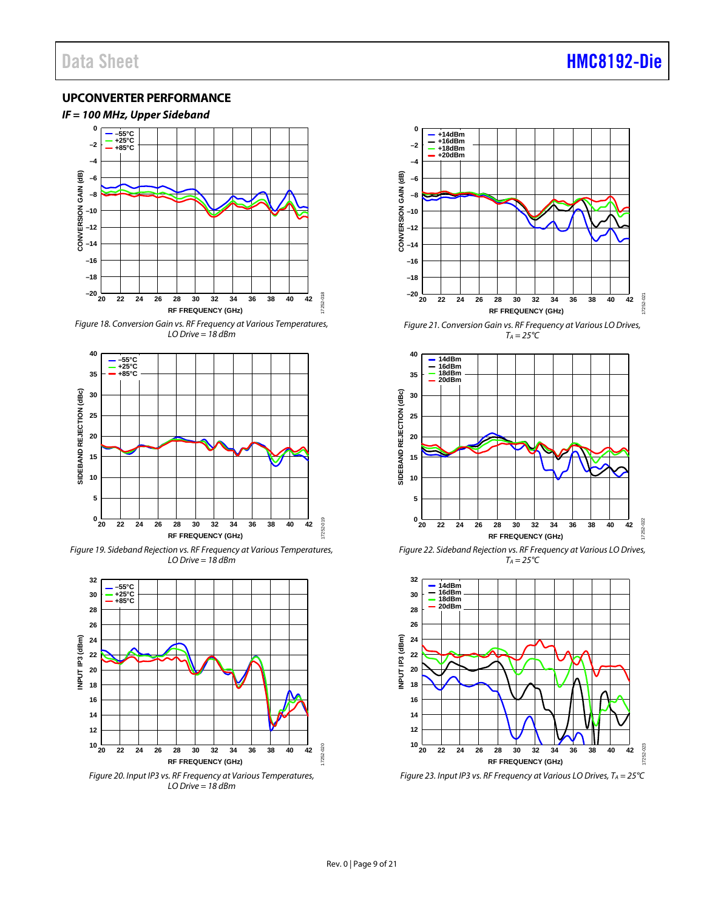### <span id="page-8-0"></span>**UPCONVERTER PERFORMANCE**



*Figure 18. Conversion Gain vs. RF Frequency at Various Temperatures, LO Drive = 18 dBm*



*Figure 19. Sideband Rejection vs. RF Frequency at Various Temperatures, LO Drive = 18 dBm*



*Figure 20. Input IP3 vs. RF Frequency at Various Temperatures, LO Drive = 18 dBm*



*Figure 21. Conversion Gain vs. RF Frequency at Various LO Drives,*   $T_A = 25^{\circ}C$ 



*Figure 22. Sideband Rejection vs. RF Frequency at Various LO Drives, TA = 25°C*



*Figure 23. Input IP3 vs. RF Frequency at Various LO Drives, TA = 25°C*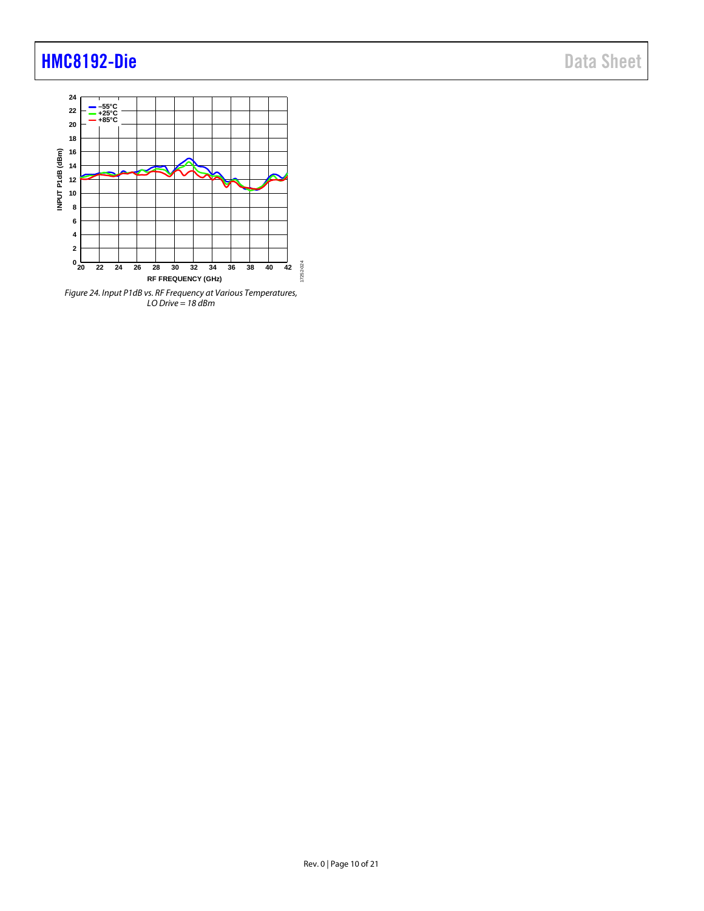

*Figure 24. Input P1dB vs. RF Frequency at Various Temperatures, LO Drive = 18 dBm*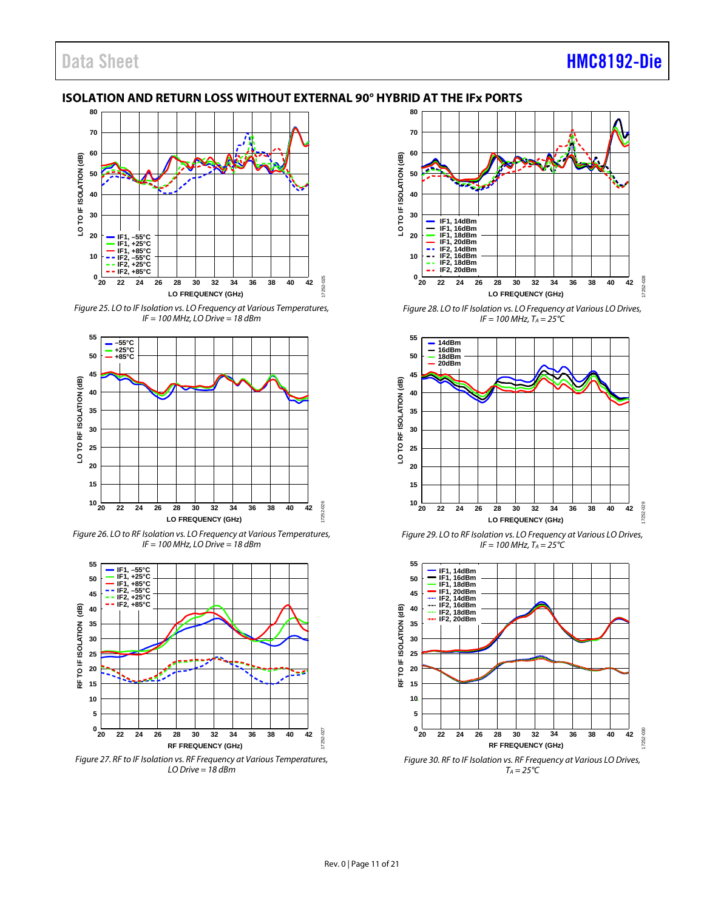### <span id="page-10-0"></span>**ISOLATION AND RETURN LOSS WITHOUT EXTERNAL 90° HYBRID AT THE IFx PORTS**



*Figure 25. LO to IF Isolation vs. LO Frequency at Various Temperatures, IF = 100 MHz, LO Drive = 18 dBm*



*Figure 26. LO to RF Isolation vs. LO Frequency at Various Temperatures, IF = 100 MHz, LO Drive = 18 dBm*



*Figure 27. RF to IF Isolation vs. RF Frequency at Various Temperatures, LO Drive = 18 dBm*



*Figure 28. LO to IF Isolation vs. LO Frequency at Various LO Drives,*   $IF = 100 MHz, T_A = 25^{\circ}C$ 



*Figure 29. LO to RF Isolation vs. LO Frequency at Various LO Drives,*   $IF = 100 MHz, T_A = 25^{\circ}C$ 



*Figure 30. RF to IF Isolation vs. RF Frequency at Various LO Drives,*   $T_A = 25^{\circ}C$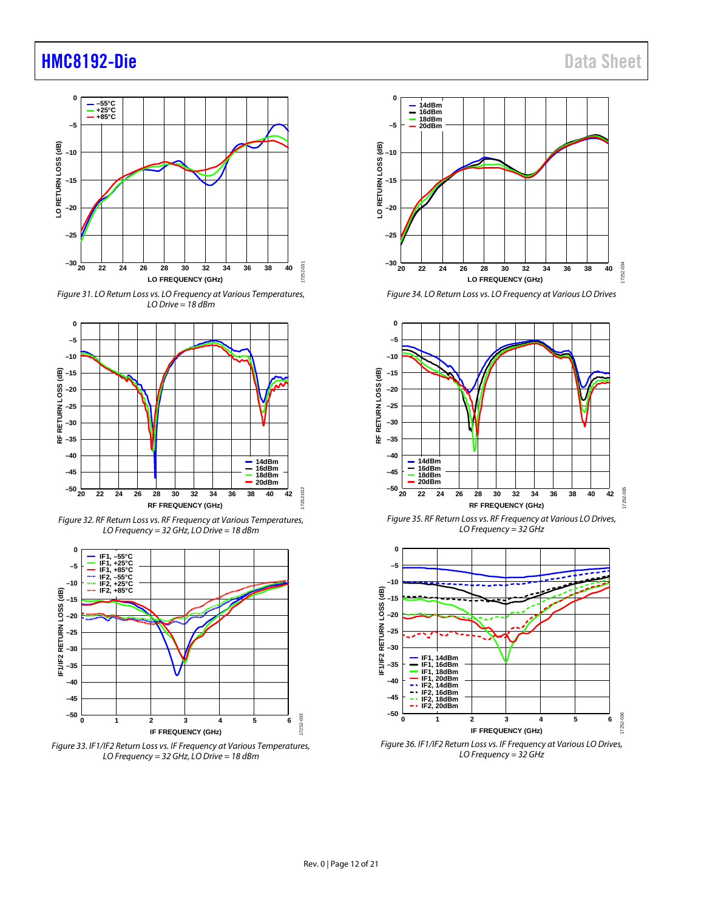

*Figure 31. LO Return Loss vs. LO Frequency at Various Temperatures, LO Drive = 18 dBm*



*Figure 32. RF Return Loss vs. RF Frequency at Various Temperatures, LO Frequency = 32 GHz, LO Drive = 18 dBm*



*Figure 33. IF1/IF2 Return Loss vs. IF Frequency at Various Temperatures, LO Frequency = 32 GHz, LO Drive = 18 dBm*



*Figure 34. LO Return Loss vs. LO Frequency at Various LO Drives*



*Figure 35. RF Return Loss vs. RF Frequency at Various LO Drives, LO Frequency = 32 GHz*



*Figure 36. IF1/IF2 Return Loss vs. IF Frequency at Various LO Drives, LO Frequency = 32 GHz*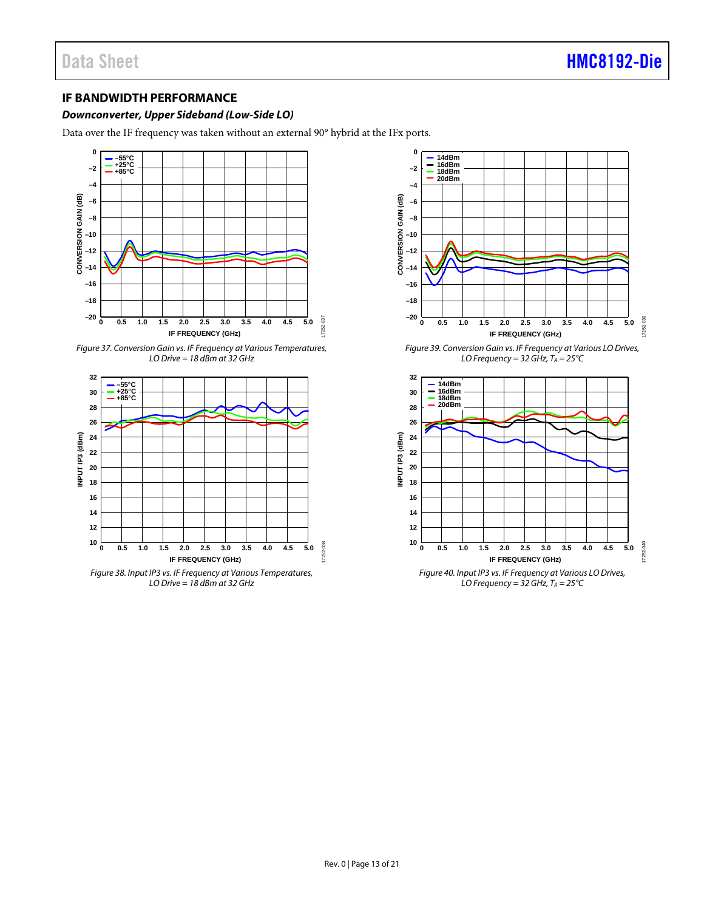### <span id="page-12-0"></span>**IF BANDWIDTH PERFORMANCE**

#### *Downconverter, Upper Sideband (Low-Side LO)*

Data over the IF frequency was taken without an external 90° hybrid at the IFx ports.



*Figure 37. Conversion Gain vs. IF Frequency at Various Temperatures, LO Drive = 18 dBm at 32 GHz*



*Figure 38. Input IP3 vs. IF Frequency at Various Temperatures, LO Drive = 18 dBm at 32 GHz*



*Figure 39. Conversion Gain vs. IF Frequency at Various LO Drives, LO Frequency = 32 GHz,*  $T_A = 25^{\circ}C$ 



 $LO$  *Frequency = 32 GHz, T<sub>A</sub> = 25* °C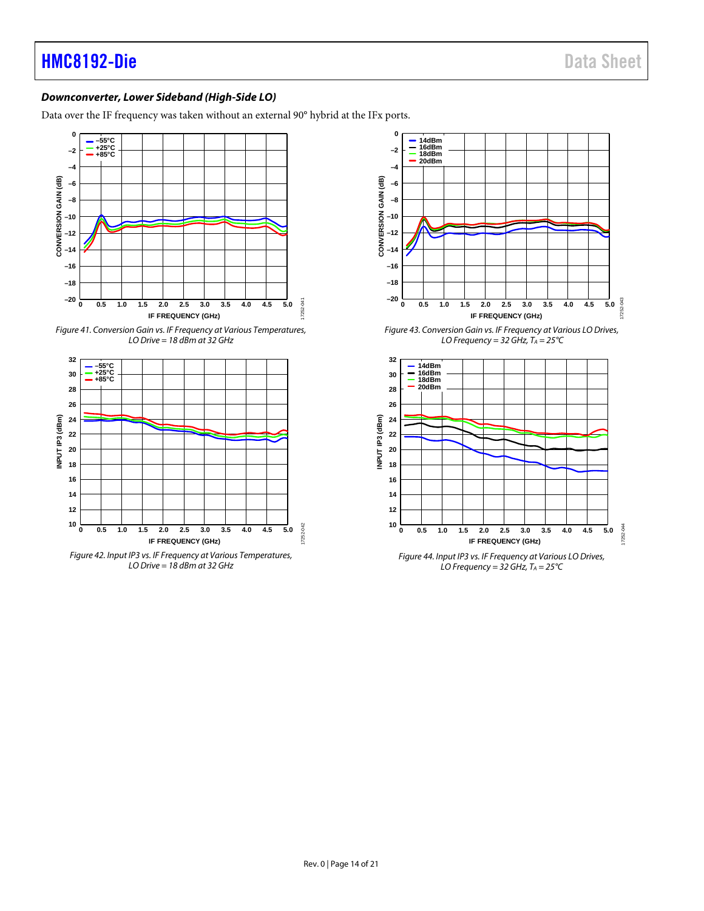### *Downconverter, Lower Sideband (High-Side LO)*

Data over the IF frequency was taken without an external 90° hybrid at the IFx ports.



*Figure 41. Conversion Gain vs. IF Frequency at Various Temperatures, LO Drive = 18 dBm at 32 GHz*



*Figure 42. Input IP3 vs. IF Frequency at Various Temperatures, LO Drive = 18 dBm at 32 GHz*



*Figure 43. Conversion Gain vs. IF Frequency at Various LO Drives, LO Frequency = 32 GHz,*  $T_A = 25^{\circ}C$ 



*Figure 44. Input IP3 vs. IF Frequency at Various LO Drives, LO Frequency = 32 GHz, TA = 25°C*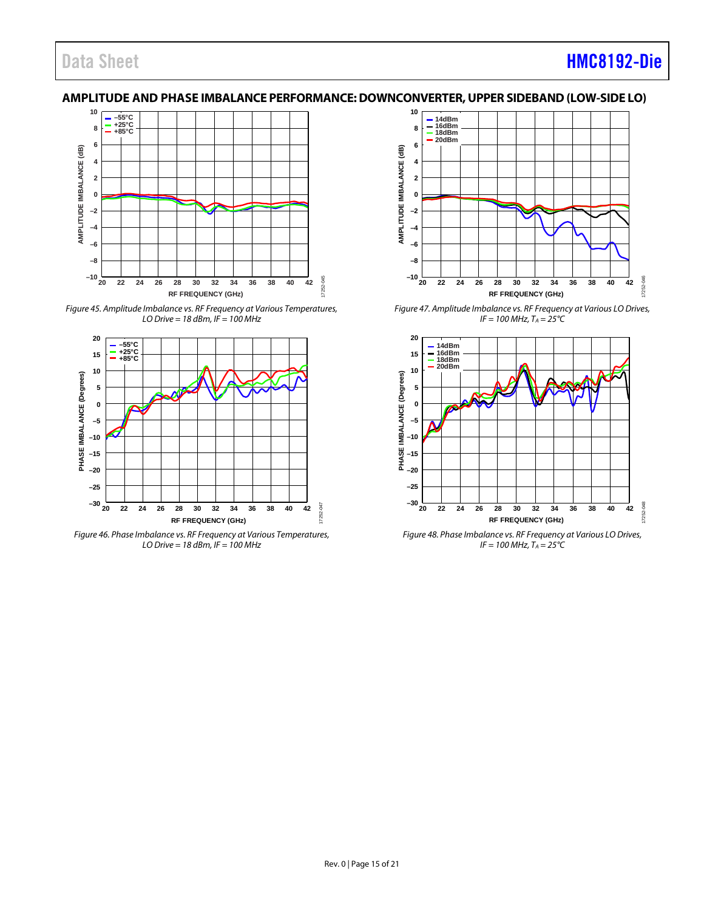### Data Sheet **[HMC8192-Die](https://www.analog.com/hmc8192?doc=hmc8192-die.pdf)**

### <span id="page-14-0"></span>**AMPLITUDE AND PHASE IMBALANCE PERFORMANCE:DOWNCONVERTER, UPPER SIDEBAND (LOW-SIDE LO)**



*Figure 45. Amplitude Imbalance vs. RF Frequency at Various Temperatures, LO Drive = 18 dBm, IF = 100 MHz*



*Figure 46. Phase Imbalance vs. RF Frequency at Various Temperatures, LO Drive = 18 dBm, IF = 100 MHz*



*Figure 47. Amplitude Imbalance vs. RF Frequency at Various LO Drives,*   $IF = 100 MHz$ ,  $T_A = 25^{\circ}C$ 



*Figure 48. Phase Imbalance vs. RF Frequency at Various LO Drives,*   $IF = 100 MHz, T_A = 25^{\circ}C$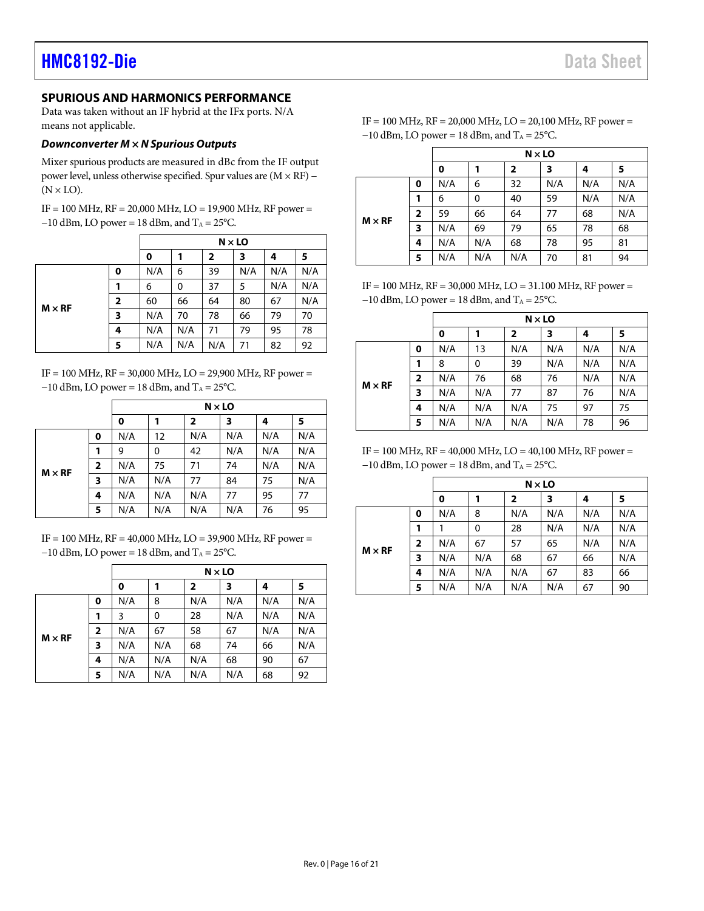### <span id="page-15-0"></span>**SPURIOUS AND HARMONICS PERFORMANCE**

Data was taken without an IF hybrid at the IFx ports. N/A means not applicable.

#### *Downconverter M × N Spurious Outputs*

Mixer spurious products are measured in dBc from the IF output power level, unless otherwise specified. Spur values are (M × RF) −  $(N \times LO)$ .

IF = 100 MHz, RF = 20,000 MHz, LO = 19,900 MHz, RF power =  $-10$  dBm, LO power = 18 dBm, and T<sub>A</sub> = 25°C.

|               |   | $N \times$ LO |                         |     |     |     |     |
|---------------|---|---------------|-------------------------|-----|-----|-----|-----|
|               | 0 |               | $\overline{\mathbf{2}}$ | 3   | 4   | 5   |     |
|               | 0 | N/A           | 6                       | 39  | N/A | N/A | N/A |
|               |   | 6             | 0                       | 37  | 5   | N/A | N/A |
| $M \times RF$ | 2 | 60            | 66                      | 64  | 80  | 67  | N/A |
|               | 3 | N/A           | 70                      | 78  | 66  | 79  | 70  |
|               | 4 | N/A           | N/A                     | 71  | 79  | 95  | 78  |
|               | 5 | N/A           | N/A                     | N/A | 71  | 82  | 92  |

IF = 100 MHz, RF = 30,000 MHz, LO = 29,900 MHz, RF power =  $-10$  dBm, LO power = 18 dBm, and T<sub>A</sub> = 25°C.

|               |                         |     | $N \times LO$ |                         |     |     |     |  |  |
|---------------|-------------------------|-----|---------------|-------------------------|-----|-----|-----|--|--|
|               |                         | 0   |               | $\overline{\mathbf{2}}$ | 3   | 4   | 5   |  |  |
|               | 0                       | N/A | 12            | N/A                     | N/A | N/A | N/A |  |  |
| $M \times RF$ | 1                       | 9   | 0             | 42                      | N/A | N/A | N/A |  |  |
|               | $\overline{\mathbf{2}}$ | N/A | 75            | 71                      | 74  | N/A | N/A |  |  |
|               | 3                       | N/A | N/A           | 77                      | 84  | 75  | N/A |  |  |
|               | 4                       | N/A | N/A           | N/A                     | 77  | 95  | 77  |  |  |
|               | 5                       | N/A | N/A           | N/A                     | N/A | 76  | 95  |  |  |

IF = 100 MHz, RF = 40,000 MHz, LO = 39,900 MHz, RF power =  $-10$  dBm, LO power = 18 dBm, and T<sub>A</sub> = 25 °C.

|               |                         |     | $N \times$ LO |     |     |     |     |  |  |
|---------------|-------------------------|-----|---------------|-----|-----|-----|-----|--|--|
|               |                         | 0   |               | 2   | 3   | 4   | 5   |  |  |
|               | 0                       | N/A | 8             | N/A | N/A | N/A | N/A |  |  |
| $M \times RF$ | 1                       | 3   | 0             | 28  | N/A | N/A | N/A |  |  |
|               | $\overline{\mathbf{2}}$ | N/A | 67            | 58  | 67  | N/A | N/A |  |  |
|               | 3                       | N/A | N/A           | 68  | 74  | 66  | N/A |  |  |
|               | 4                       | N/A | N/A           | N/A | 68  | 90  | 67  |  |  |
|               | 5                       | N/A | N/A           | N/A | N/A | 68  | 92  |  |  |

| IF = 100 MHz, $RF = 20,000$ MHz, $LO = 20,100$ MHz, RF power = |
|----------------------------------------------------------------|
| $-10$ dBm, LO power = 18 dBm, and T <sub>A</sub> = 25 °C.      |

|               |   |     | $N \times LO$ |                |     |     |     |  |  |  |
|---------------|---|-----|---------------|----------------|-----|-----|-----|--|--|--|
|               |   | 0   |               | $\overline{2}$ | 3   | 4   | 5   |  |  |  |
|               | 0 | N/A | 6             | 32             | N/A | N/A | N/A |  |  |  |
| $M \times RF$ |   | 6   | 0             | 40             | 59  | N/A | N/A |  |  |  |
|               | 2 | 59  | 66            | 64             | 77  | 68  | N/A |  |  |  |
|               | 3 | N/A | 69            | 79             | 65  | 78  | 68  |  |  |  |
|               | 4 | N/A | N/A           | 68             | 78  | 95  | 81  |  |  |  |
|               | 5 | N/A | N/A           | N/A            | 70  | 81  | 94  |  |  |  |

IF = 100 MHz, RF = 30,000 MHz, LO = 31.100 MHz, RF power =  $-10$  dBm, LO power = 18 dBm, and T<sub>A</sub> = 25 °C.

|               |                | $N \times LO$ |     |                |     |     |     |
|---------------|----------------|---------------|-----|----------------|-----|-----|-----|
|               |                | $\mathbf 0$   |     | $\overline{2}$ | 3   | 4   | 5   |
|               | 0              | N/A           | 13  | N/A            | N/A | N/A | N/A |
|               |                | 8             | 0   | 39             | N/A | N/A | N/A |
|               | $\overline{2}$ | N/A           | 76  | 68             | 76  | N/A | N/A |
| $M \times RF$ | 3              | N/A           | N/A | 77             | 87  | 76  | N/A |
|               | 4              | N/A           | N/A | N/A            | 75  | 97  | 75  |
|               | 5              | N/A           | N/A | N/A            | N/A | 78  | 96  |

IF = 100 MHz, RF = 40,000 MHz, LO = 40,100 MHz, RF power =  $-10$  dBm, LO power = 18 dBm, and T<sub>A</sub> = 25°C.

|               |                | $N \times LO$ |     |                         |     |     |     |
|---------------|----------------|---------------|-----|-------------------------|-----|-----|-----|
|               |                | 0             |     | $\overline{\mathbf{2}}$ | 3   | 4   | 5   |
| $M \times RF$ | 0              | N/A           | 8   | N/A                     | N/A | N/A | N/A |
|               | 1              |               | 0   | 28                      | N/A | N/A | N/A |
|               | $\overline{2}$ | N/A           | 67  | 57                      | 65  | N/A | N/A |
|               | 3              | N/A           | N/A | 68                      | 67  | 66  | N/A |
|               | 4              | N/A           | N/A | N/A                     | 67  | 83  | 66  |
|               | 5              | N/A           | N/A | N/A                     | N/A | 67  | 90  |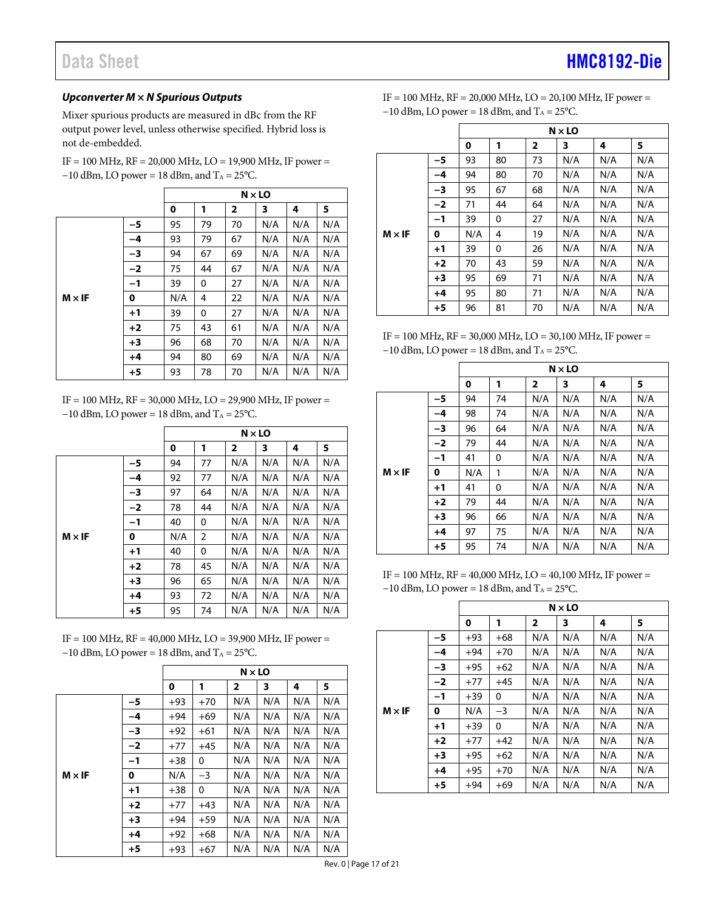## Data Sheet **[HMC8192-Die](https://www.analog.com/hmc8192?doc=hmc8192-die.pdf)**

#### *Upconverter M × N Spurious Outputs*

Mixer spurious products are measured in dBc from the RF output power level, unless otherwise specified. Hybrid loss is not de-embedded.

 $IF = 100 MHz$ ,  $RF = 20,000 MHz$ ,  $LO = 19,900 MHz$ ,  $IF power = 100 MHz$  $-10$  dBm, LO power = 18 dBm, and T<sub>A</sub> = 25°C.

|               |      | $N \times LO$ |    |              |     |     |     |  |
|---------------|------|---------------|----|--------------|-----|-----|-----|--|
|               |      | 0             | 1  | $\mathbf{2}$ | 3   | 4   | 5   |  |
|               | -5   | 95            | 79 | 70           | N/A | N/A | N/A |  |
|               | -4   | 93            | 79 | 67           | N/A | N/A | N/A |  |
|               | $-3$ | 94            | 67 | 69           | N/A | N/A | N/A |  |
|               | $-2$ | 75            | 44 | 67           | N/A | N/A | N/A |  |
|               | $-1$ | 39            | 0  | 27           | N/A | N/A | N/A |  |
| $M \times IF$ | 0    | N/A           | 4  | 22           | N/A | N/A | N/A |  |
|               | $+1$ | 39            | 0  | 27           | N/A | N/A | N/A |  |
|               | $+2$ | 75            | 43 | 61           | N/A | N/A | N/A |  |
|               | $+3$ | 96            | 68 | 70           | N/A | N/A | N/A |  |
|               | $+4$ | 94            | 80 | 69           | N/A | N/A | N/A |  |
|               | $+5$ | 93            | 78 | 70           | N/A | N/A | N/A |  |

IF = 100 MHz, RF = 30,000 MHz, LO = 29,900 MHz, IF power =  $-10$  dBm, LO power = 18 dBm, and T<sub>A</sub> = 25°C.

|               |      | $N \times LO$ |    |                         |     |     |     |
|---------------|------|---------------|----|-------------------------|-----|-----|-----|
|               |      | 0             | 1  | $\overline{\mathbf{2}}$ | 3   | 4   | 5   |
|               | -5   | 94            | 77 | N/A                     | N/A | N/A | N/A |
|               | -4   | 92            | 77 | N/A                     | N/A | N/A | N/A |
|               | -3   | 97            | 64 | N/A                     | N/A | N/A | N/A |
|               | $-2$ | 78            | 44 | N/A                     | N/A | N/A | N/A |
|               | $-1$ | 40            | 0  | N/A                     | N/A | N/A | N/A |
| $M \times IF$ | 0    | N/A           | 2  | N/A                     | N/A | N/A | N/A |
|               | $+1$ | 40            | 0  | N/A                     | N/A | N/A | N/A |
|               | $+2$ | 78            | 45 | N/A                     | N/A | N/A | N/A |
|               | $+3$ | 96            | 65 | N/A                     | N/A | N/A | N/A |
|               | $+4$ | 93            | 72 | N/A                     | N/A | N/A | N/A |
|               | $+5$ | 95            | 74 | N/A                     | N/A | N/A | N/A |

IF = 100 MHz, RF = 40,000 MHz, LO = 39,900 MHz, IF power =  $-10$  dBm, LO power = 18 dBm, and T<sub>A</sub> = 25°C.

|      | $N \times LO$ |       |                |     |     |     |  |
|------|---------------|-------|----------------|-----|-----|-----|--|
|      | 0             | 1     | $\overline{2}$ | 3   | 4   | 5   |  |
| -5   | $+93$         | $+70$ | N/A            | N/A | N/A | N/A |  |
| -4   | $+94$         | $+69$ | N/A            | N/A | N/A | N/A |  |
| -3   | $+92$         | $+61$ | N/A            | N/A | N/A | N/A |  |
| $-2$ | $+77$         | $+45$ | N/A            | N/A | N/A | N/A |  |
| $-1$ | $+38$         | 0     | N/A            | N/A | N/A | N/A |  |
| 0    | N/A           | $-3$  | N/A            | N/A | N/A | N/A |  |
| $+1$ | $+38$         | 0     | N/A            | N/A | N/A | N/A |  |
| $+2$ | $+77$         | $+43$ | N/A            | N/A | N/A | N/A |  |
| $+3$ | $+94$         | $+59$ | N/A            | N/A | N/A | N/A |  |
| $+4$ | $+92$         | $+68$ | N/A            | N/A | N/A | N/A |  |
| $+5$ | $+93$         | $+67$ | N/A            | N/A | N/A | N/A |  |
|      |               |       |                |     |     |     |  |

IF = 100 MHz, RF = 20,000 MHz, LO = 20,100 MHz, IF power =  $-10$  dBm, LO power = 18 dBm, and T<sub>A</sub> = 25 °C.

|               |      | $N \times LO$ |    |                |     |     |     |  |
|---------------|------|---------------|----|----------------|-----|-----|-----|--|
|               |      | 0             | 1  | $\overline{2}$ | 3   | 4   | 5   |  |
|               | -5   | 93            | 80 | 73             | N/A | N/A | N/A |  |
|               | -4   | 94            | 80 | 70             | N/A | N/A | N/A |  |
|               | -3   | 95            | 67 | 68             | N/A | N/A | N/A |  |
|               | $-2$ | 71            | 44 | 64             | N/A | N/A | N/A |  |
|               | $-1$ | 39            | 0  | 27             | N/A | N/A | N/A |  |
| $M \times IF$ | 0    | N/A           | 4  | 19             | N/A | N/A | N/A |  |
|               | $+1$ | 39            | 0  | 26             | N/A | N/A | N/A |  |
|               | $+2$ | 70            | 43 | 59             | N/A | N/A | N/A |  |
|               | $+3$ | 95            | 69 | 71             | N/A | N/A | N/A |  |
|               | $+4$ | 95            | 80 | 71             | N/A | N/A | N/A |  |
|               | $+5$ | 96            | 81 | 70             | N/A | N/A | N/A |  |

IF = 100 MHz, RF = 30,000 MHz, LO = 30,100 MHz, IF power =  $-10$  dBm, LO power = 18 dBm, and T<sub>A</sub> = 25°C.

|               |      | $N \times LO$ |    |              |     |     |     |  |
|---------------|------|---------------|----|--------------|-----|-----|-----|--|
|               |      | 0             | 1  | $\mathbf{2}$ | 3   | 4   | 5   |  |
|               | -5   | 94            | 74 | N/A          | N/A | N/A | N/A |  |
|               | -4   | 98            | 74 | N/A          | N/A | N/A | N/A |  |
|               | -3   | 96            | 64 | N/A          | N/A | N/A | N/A |  |
| $M \times IF$ | $-2$ | 79            | 44 | N/A          | N/A | N/A | N/A |  |
|               | $-1$ | 41            | 0  | N/A          | N/A | N/A | N/A |  |
|               | 0    | N/A           | 1  | N/A          | N/A | N/A | N/A |  |
|               | $+1$ | 41            | 0  | N/A          | N/A | N/A | N/A |  |
|               | $+2$ | 79            | 44 | N/A          | N/A | N/A | N/A |  |
|               | $+3$ | 96            | 66 | N/A          | N/A | N/A | N/A |  |
|               | $+4$ | 97            | 75 | N/A          | N/A | N/A | N/A |  |
|               | $+5$ | 95            | 74 | N/A          | N/A | N/A | N/A |  |

IF = 100 MHz, RF = 40,000 MHz, LO = 40,100 MHz, IF power =  $-10$  dBm, LO power = 18 dBm, and T<sub>A</sub> = 25°C.

|               |      | $N \times LO$ |       |              |     |     |     |  |
|---------------|------|---------------|-------|--------------|-----|-----|-----|--|
|               |      | 0             | 1     | $\mathbf{z}$ | 3   | 4   | 5   |  |
|               | -5   | $+93$         | $+68$ | N/A          | N/A | N/A | N/A |  |
|               | -4   | $+94$         | $+70$ | N/A          | N/A | N/A | N/A |  |
|               | -3   | $+95$         | $+62$ | N/A          | N/A | N/A | N/A |  |
|               | $-2$ | $+77$         | $+45$ | N/A          | N/A | N/A | N/A |  |
|               | $-1$ | $+39$         | 0     | N/A          | N/A | N/A | N/A |  |
| $M \times IF$ | 0    | N/A           | $-3$  | N/A          | N/A | N/A | N/A |  |
|               | $+1$ | $+39$         | 0     | N/A          | N/A | N/A | N/A |  |
|               | $+2$ | $+77$         | $+42$ | N/A          | N/A | N/A | N/A |  |
|               | $+3$ | $+95$         | $+62$ | N/A          | N/A | N/A | N/A |  |
|               | $+4$ | $+95$         | $+70$ | N/A          | N/A | N/A | N/A |  |
|               | $+5$ | $+94$         | $+69$ | N/A          | N/A | N/A | N/A |  |

Rev. 0 | Page 17 of 21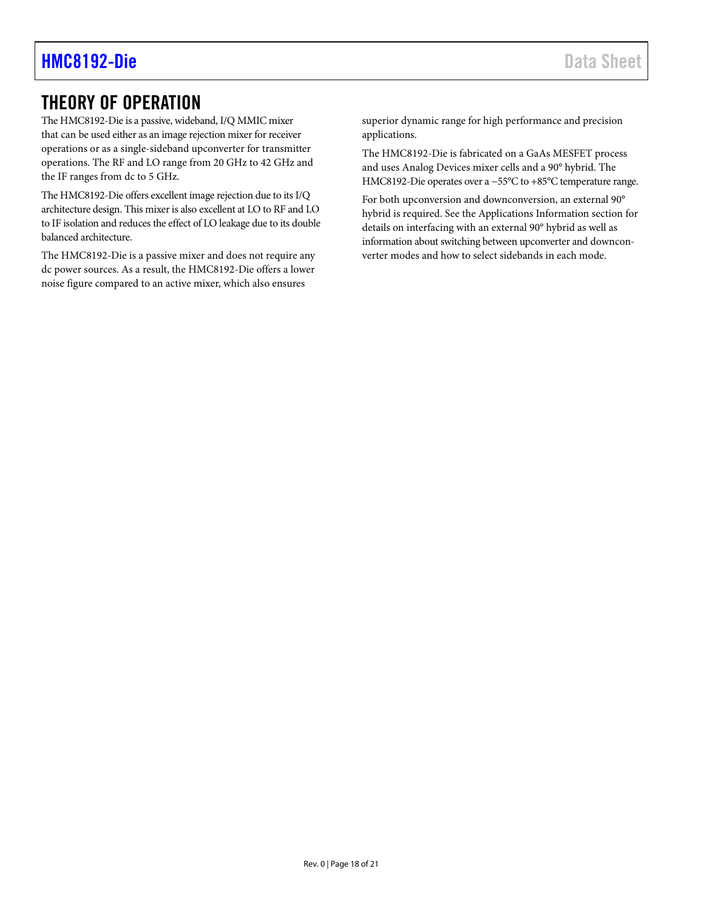### <span id="page-17-0"></span>THEORY OF OPERATION

The HMC8192-Die is a passive, wideband, I/Q MMIC mixer that can be used either as an image rejection mixer for receiver operations or as a single-sideband upconverter for transmitter operations. The RF and LO range from 20 GHz to 42 GHz and the IF ranges from dc to 5 GHz.

The HMC8192-Die offers excellent image rejection due to its I/Q architecture design. This mixer is also excellent at LO to RF and LO to IF isolation and reduces the effect of LO leakage due to its double balanced architecture.

The HMC8192-Die is a passive mixer and does not require any dc power sources. As a result, the HMC8192-Die offers a lower noise figure compared to an active mixer, which also ensures

superior dynamic range for high performance and precision applications.

The HMC8192-Die is fabricated on a GaAs MESFET process and uses Analog Devices mixer cells and a 90° hybrid. The HMC8192-Die operates over a −55°C to +85°C temperature range.

For both upconversion and downconversion, an external 90° hybrid is required. See the [Applications Information](#page-18-0) section for details on interfacing with an external 90° hybrid as well as information about switching between upconverter and downconverter modes and how to select sidebands in each mode.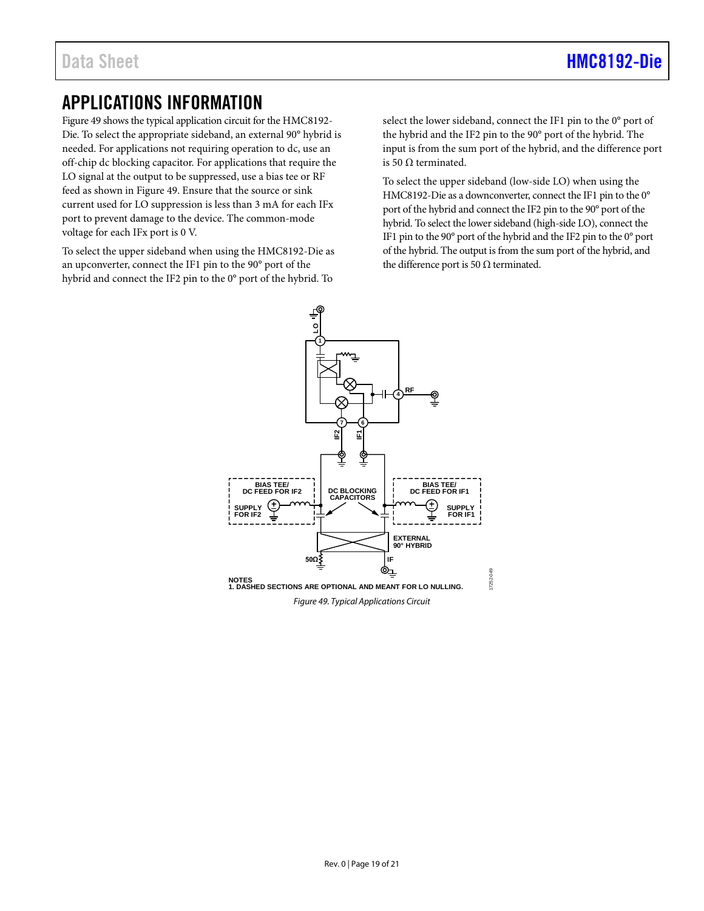### <span id="page-18-0"></span>APPLICATIONS INFORMATION

[Figure 49](#page-18-1) shows the typical application circuit for the HMC8192- Die. To select the appropriate sideband, an external 90° hybrid is needed. For applications not requiring operation to dc, use an off-chip dc blocking capacitor. For applications that require the LO signal at the output to be suppressed, use a bias tee or RF feed as shown in [Figure 49.](#page-18-1) Ensure that the source or sink current used for LO suppression is less than 3 mA for each IFx port to prevent damage to the device. The common-mode voltage for each IFx port is 0 V.

To select the upper sideband when using the HMC8192-Die as an upconverter, connect the IF1 pin to the 90° port of the hybrid and connect the IF2 pin to the 0° port of the hybrid. To

select the lower sideband, connect the IF1 pin to the 0° port of the hybrid and the IF2 pin to the 90° port of the hybrid. The input is from the sum port of the hybrid, and the difference port is 50 Ω terminated.

To select the upper sideband (low-side LO) when using the HMC8192-Die as a downconverter, connect the IF1 pin to the 0° port of the hybrid and connect the IF2 pin to the 90° port of the hybrid. To select the lower sideband (high-side LO), connect the IF1 pin to the 90° port of the hybrid and the IF2 pin to the 0° port of the hybrid. The output is from the sum port of the hybrid, and the difference port is 50  $\Omega$  terminated.

<span id="page-18-1"></span>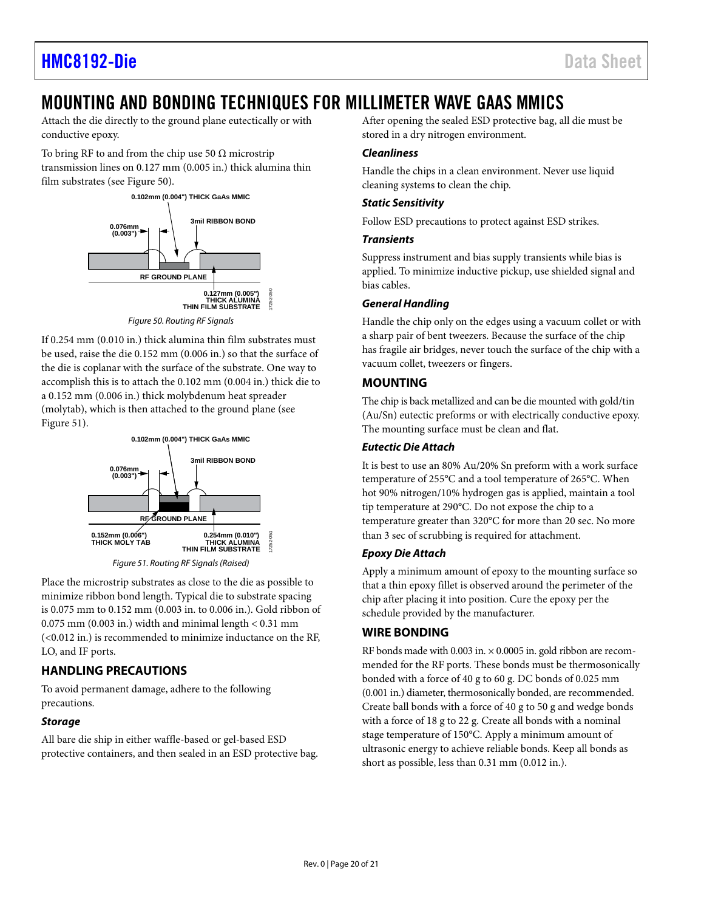### <span id="page-19-0"></span>MOUNTING AND BONDING TECHNIQUES FOR MILLIMETER WAVE GAAS MMICS

Attach the die directly to the ground plane eutectically or with conductive epoxy.

To bring RF to and from the chip use 50  $\Omega$  microstrip transmission lines on 0.127 mm (0.005 in.) thick alumina thin film substrates (se[e Figure 50\)](#page-19-4).



*Figure 50. Routing RF Signals*

<span id="page-19-4"></span>If 0.254 mm (0.010 in.) thick alumina thin film substrates must be used, raise the die 0.152 mm (0.006 in.) so that the surface of the die is coplanar with the surface of the substrate. One way to accomplish this is to attach the 0.102 mm (0.004 in.) thick die to a 0.152 mm (0.006 in.) thick molybdenum heat spreader (molytab), which is then attached to the ground plane (see [Figure 51\)](#page-19-5).



*Figure 51. Routing RF Signals (Raised)*

<span id="page-19-5"></span>Place the microstrip substrates as close to the die as possible to minimize ribbon bond length. Typical die to substrate spacing is 0.075 mm to 0.152 mm (0.003 in. to 0.006 in.). Gold ribbon of  $0.075$  mm  $(0.003$  in.) width and minimal length  $< 0.31$  mm (<0.012 in.) is recommended to minimize inductance on the RF, LO, and IF ports.

### <span id="page-19-1"></span>**HANDLING PRECAUTIONS**

To avoid permanent damage, adhere to the following precautions.

### *Storage*

All bare die ship in either waffle-based or gel-based ESD protective containers, and then sealed in an ESD protective bag. After opening the sealed ESD protective bag, all die must be stored in a dry nitrogen environment.

### *Cleanliness*

Handle the chips in a clean environment. Never use liquid cleaning systems to clean the chip.

### *Static Sensitivity*

Follow ESD precautions to protect against ESD strikes.

#### *Transients*

Suppress instrument and bias supply transients while bias is applied. To minimize inductive pickup, use shielded signal and bias cables.

### *General Handling*

Handle the chip only on the edges using a vacuum collet or with a sharp pair of bent tweezers. Because the surface of the chip has fragile air bridges, never touch the surface of the chip with a vacuum collet, tweezers or fingers.

### <span id="page-19-2"></span>**MOUNTING**

The chip is back metallized and can be die mounted with gold/tin (Au/Sn) eutectic preforms or with electrically conductive epoxy. The mounting surface must be clean and flat.

### *Eutectic Die Attach*

It is best to use an 80% Au/20% Sn preform with a work surface temperature of 255°C and a tool temperature of 265°C. When hot 90% nitrogen/10% hydrogen gas is applied, maintain a tool tip temperature at 290°C. Do not expose the chip to a temperature greater than 320°C for more than 20 sec. No more than 3 sec of scrubbing is required for attachment.

### *Epoxy Die Attach*

Apply a minimum amount of epoxy to the mounting surface so that a thin epoxy fillet is observed around the perimeter of the chip after placing it into position. Cure the epoxy per the schedule provided by the manufacturer.

### <span id="page-19-3"></span>**WIRE BONDING**

RF bonds made with 0.003 in.  $\times$  0.0005 in. gold ribbon are recommended for the RF ports. These bonds must be thermosonically bonded with a force of 40 g to 60 g. DC bonds of 0.025 mm (0.001 in.) diameter, thermosonically bonded, are recommended. Create ball bonds with a force of 40 g to 50 g and wedge bonds with a force of 18 g to 22 g. Create all bonds with a nominal stage temperature of 150°C. Apply a minimum amount of ultrasonic energy to achieve reliable bonds. Keep all bonds as short as possible, less than 0.31 mm (0.012 in.).